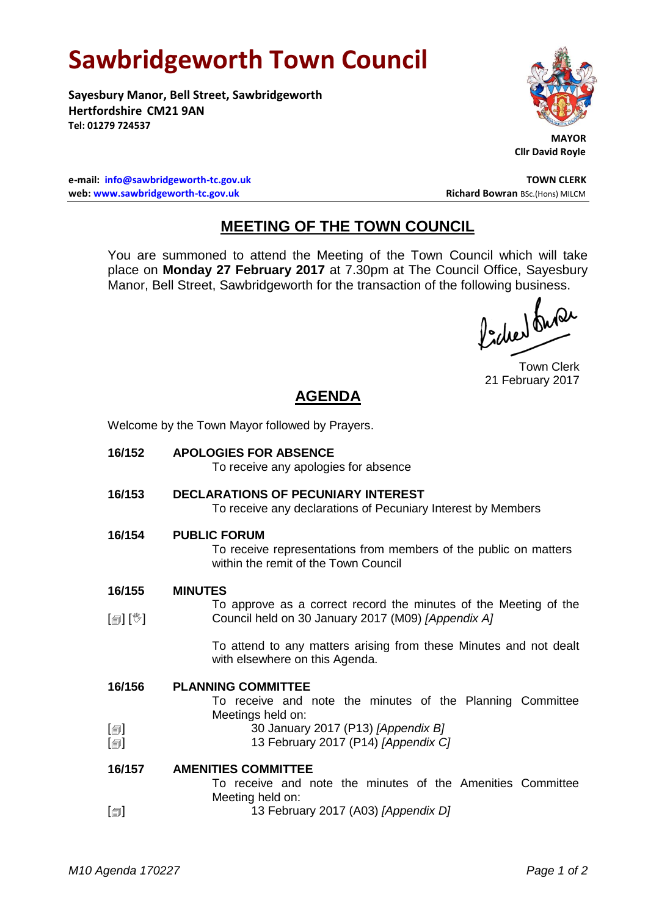## **Sawbridgeworth Town Council**

**Sayesbury Manor, Bell Street, Sawbridgeworth Hertfordshire CM21 9AN Tel: 01279 724537**



**Cllr David Royle**

**e-mail: [info@sawbridgeworth-tc.gov.uk](mailto:info@sawbridgeworth-tc.gov.uk) TOWN CLERK web: www.sawbridgeworth-tc.gov.uk Richard Bowran BSc.(Hons) MILCM Richard Bowran BSc.(Hons) MILCM** 

## **MEETING OF THE TOWN COUNCIL**

You are summoned to attend the Meeting of the Town Council which will take place on **Monday 27 February 2017** at 7.30pm at The Council Office, Sayesbury Manor, Bell Street, Sawbridgeworth for the transaction of the following business.

fidee buse

Town Clerk 21 February 2017

## **AGENDA**

Welcome by the Town Mayor followed by Prayers.

| 16/152                               | <b>APOLOGIES FOR ABSENCE</b><br>To receive any apologies for absence                                                            |
|--------------------------------------|---------------------------------------------------------------------------------------------------------------------------------|
| 16/153                               | <b>DECLARATIONS OF PECUNIARY INTEREST</b><br>To receive any declarations of Pecuniary Interest by Members                       |
| 16/154                               | <b>PUBLIC FORUM</b><br>To receive representations from members of the public on matters<br>within the remit of the Town Council |
| 16/155                               | <b>MINUTES</b>                                                                                                                  |
| $\mathbb{D}[\mathbb{D}^1]$           | To approve as a correct record the minutes of the Meeting of the<br>Council held on 30 January 2017 (M09) [Appendix A]          |
|                                      | To attend to any matters arising from these Minutes and not dealt<br>with elsewhere on this Agenda.                             |
| 16/156                               | <b>PLANNING COMMITTEE</b><br>To receive and note the minutes of the Planning Committee<br>Meetings held on:                     |
| $[\blacksquare]$<br>$[\blacksquare]$ | 30 January 2017 (P13) [Appendix B]<br>13 February 2017 (P14) [Appendix C]                                                       |
| 16/157                               | <b>AMENITIES COMMITTEE</b><br>To receive and note the minutes of the Amenities Committee                                        |
|                                      | Meeting held on:                                                                                                                |
| $[\blacksquare]$                     | 13 February 2017 (A03) [Appendix D]                                                                                             |